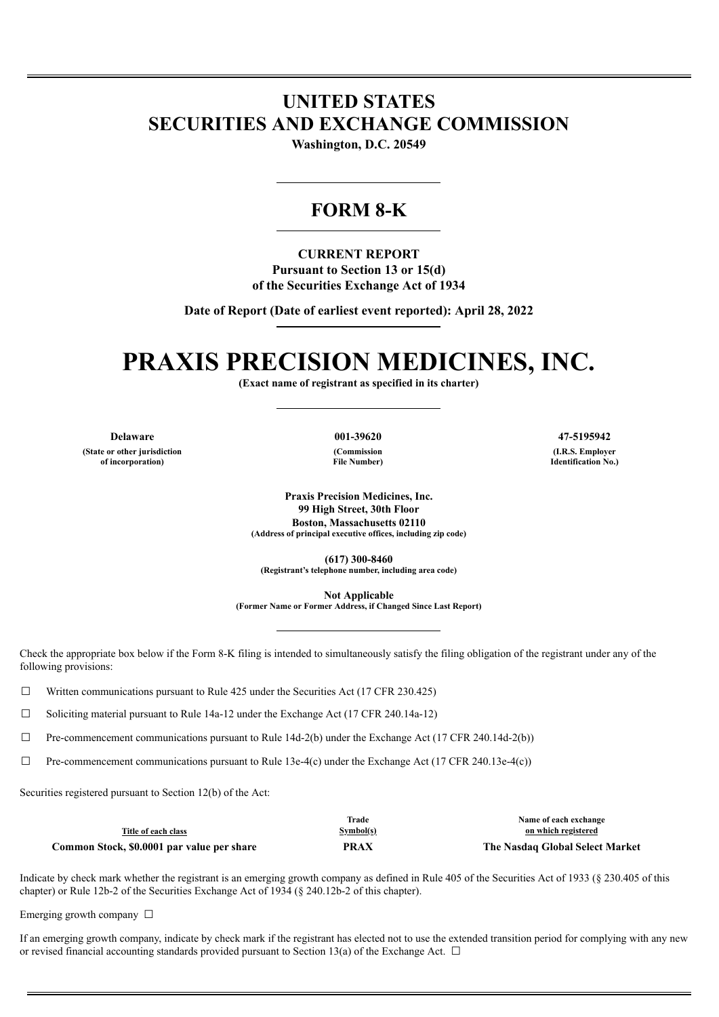## **UNITED STATES SECURITIES AND EXCHANGE COMMISSION**

**Washington, D.C. 20549**

### **FORM 8-K**

**CURRENT REPORT Pursuant to Section 13 or 15(d) of the Securities Exchange Act of 1934**

**Date of Report (Date of earliest event reported): April 28, 2022**

# **PRAXIS PRECISION MEDICINES, INC.**

**(Exact name of registrant as specified in its charter)**

**(State or other jurisdiction of incorporation)**

**(Commission File Number)**

**Delaware 001-39620 47-5195942 (I.R.S. Employer Identification No.)**

> **Praxis Precision Medicines, Inc. 99 High Street, 30th Floor Boston, Massachusetts 02110 (Address of principal executive offices, including zip code)**

**(617) 300-8460 (Registrant's telephone number, including area code)**

**Not Applicable**

**(Former Name or Former Address, if Changed Since Last Report)**

Check the appropriate box below if the Form 8-K filing is intended to simultaneously satisfy the filing obligation of the registrant under any of the following provisions:

 $\Box$  Written communications pursuant to Rule 425 under the Securities Act (17 CFR 230.425)

 $\Box$  Soliciting material pursuant to Rule 14a-12 under the Exchange Act (17 CFR 240.14a-12)

 $\Box$  Pre-commencement communications pursuant to Rule 14d-2(b) under the Exchange Act (17 CFR 240.14d-2(b))

 $\Box$  Pre-commencement communications pursuant to Rule 13e-4(c) under the Exchange Act (17 CFR 240.13e-4(c))

Securities registered pursuant to Section 12(b) of the Act:

|                                            | Trade     | Name of each exchange           |
|--------------------------------------------|-----------|---------------------------------|
| Title of each class                        | Symbol(s) | on which registered             |
| Common Stock, \$0.0001 par value per share | PRAX      | The Nasdaq Global Select Market |

Indicate by check mark whether the registrant is an emerging growth company as defined in Rule 405 of the Securities Act of 1933 (§ 230.405 of this chapter) or Rule 12b-2 of the Securities Exchange Act of 1934 (§ 240.12b-2 of this chapter).

Emerging growth company  $\Box$ 

If an emerging growth company, indicate by check mark if the registrant has elected not to use the extended transition period for complying with any new or revised financial accounting standards provided pursuant to Section 13(a) of the Exchange Act.  $\Box$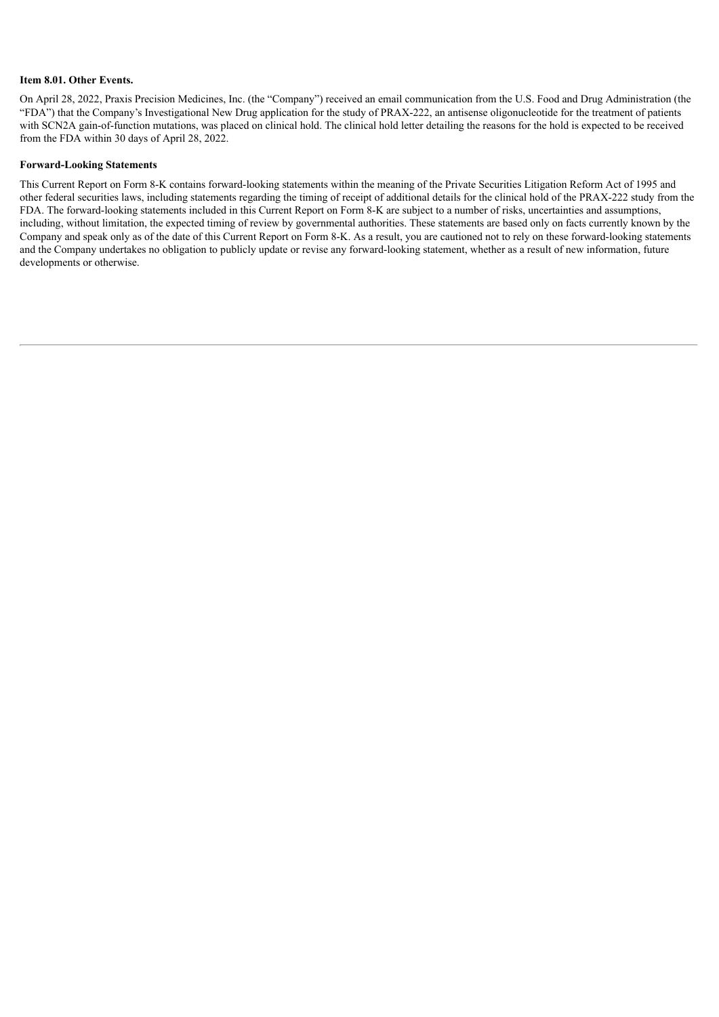#### **Item 8.01. Other Events.**

On April 28, 2022, Praxis Precision Medicines, Inc. (the "Company") received an email communication from the U.S. Food and Drug Administration (the "FDA") that the Company's Investigational New Drug application for the study of PRAX-222, an antisense oligonucleotide for the treatment of patients with SCN2A gain-of-function mutations, was placed on clinical hold. The clinical hold letter detailing the reasons for the hold is expected to be received from the FDA within 30 days of April 28, 2022.

#### **Forward-Looking Statements**

This Current Report on Form 8-K contains forward-looking statements within the meaning of the Private Securities Litigation Reform Act of 1995 and other federal securities laws, including statements regarding the timing of receipt of additional details for the clinical hold of the PRAX-222 study from the FDA. The forward-looking statements included in this Current Report on Form 8-K are subject to a number of risks, uncertainties and assumptions, including, without limitation, the expected timing of review by governmental authorities. These statements are based only on facts currently known by the Company and speak only as of the date of this Current Report on Form 8-K. As a result, you are cautioned not to rely on these forward-looking statements and the Company undertakes no obligation to publicly update or revise any forward-looking statement, whether as a result of new information, future developments or otherwise.